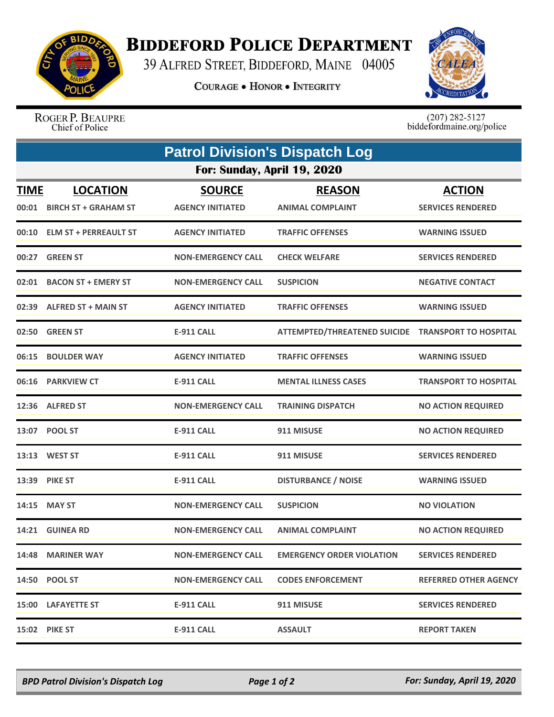

## **BIDDEFORD POLICE DEPARTMENT**

39 ALFRED STREET, BIDDEFORD, MAINE 04005

**COURAGE . HONOR . INTEGRITY** 



ROGER P. BEAUPRE Chief of Police

 $(207)$  282-5127<br>biddefordmaine.org/police

|                      | <b>Patrol Division's Dispatch Log</b>          |                                          |                                                    |                                           |  |  |  |
|----------------------|------------------------------------------------|------------------------------------------|----------------------------------------------------|-------------------------------------------|--|--|--|
|                      | For: Sunday, April 19, 2020                    |                                          |                                                    |                                           |  |  |  |
| <u>TIME</u><br>00:01 | <b>LOCATION</b><br><b>BIRCH ST + GRAHAM ST</b> | <b>SOURCE</b><br><b>AGENCY INITIATED</b> | <b>REASON</b><br><b>ANIMAL COMPLAINT</b>           | <b>ACTION</b><br><b>SERVICES RENDERED</b> |  |  |  |
|                      | 00:10 ELM ST + PERREAULT ST                    | <b>AGENCY INITIATED</b>                  | <b>TRAFFIC OFFENSES</b>                            | <b>WARNING ISSUED</b>                     |  |  |  |
|                      | 00:27 GREEN ST                                 | <b>NON-EMERGENCY CALL</b>                | <b>CHECK WELFARE</b>                               | <b>SERVICES RENDERED</b>                  |  |  |  |
| 02:01                | <b>BACON ST + EMERY ST</b>                     | <b>NON-EMERGENCY CALL</b>                | <b>SUSPICION</b>                                   | <b>NEGATIVE CONTACT</b>                   |  |  |  |
| 02:39                | <b>ALFRED ST + MAIN ST</b>                     | <b>AGENCY INITIATED</b>                  | <b>TRAFFIC OFFENSES</b>                            | <b>WARNING ISSUED</b>                     |  |  |  |
|                      | 02:50 GREEN ST                                 | E-911 CALL                               | ATTEMPTED/THREATENED SUICIDE TRANSPORT TO HOSPITAL |                                           |  |  |  |
| 06:15                | <b>BOULDER WAY</b>                             | <b>AGENCY INITIATED</b>                  | <b>TRAFFIC OFFENSES</b>                            | <b>WARNING ISSUED</b>                     |  |  |  |
| 06:16                | <b>PARKVIEW CT</b>                             | <b>E-911 CALL</b>                        | <b>MENTAL ILLNESS CASES</b>                        | <b>TRANSPORT TO HOSPITAL</b>              |  |  |  |
|                      | 12:36 ALFRED ST                                | <b>NON-EMERGENCY CALL</b>                | <b>TRAINING DISPATCH</b>                           | <b>NO ACTION REQUIRED</b>                 |  |  |  |
|                      | 13:07 POOL ST                                  | <b>E-911 CALL</b>                        | 911 MISUSE                                         | <b>NO ACTION REQUIRED</b>                 |  |  |  |
|                      | 13:13 WEST ST                                  | <b>E-911 CALL</b>                        | 911 MISUSE                                         | <b>SERVICES RENDERED</b>                  |  |  |  |
|                      | 13:39 PIKE ST                                  | <b>E-911 CALL</b>                        | <b>DISTURBANCE / NOISE</b>                         | <b>WARNING ISSUED</b>                     |  |  |  |
|                      | 14:15 MAY ST                                   | <b>NON-EMERGENCY CALL</b>                | <b>SUSPICION</b>                                   | <b>NO VIOLATION</b>                       |  |  |  |
|                      | 14:21 GUINEA RD                                | <b>NON-EMERGENCY CALL</b>                | <b>ANIMAL COMPLAINT</b>                            | <b>NO ACTION REQUIRED</b>                 |  |  |  |
|                      | 14:48 MARINER WAY                              | <b>NON-EMERGENCY CALL</b>                | <b>EMERGENCY ORDER VIOLATION</b>                   | <b>SERVICES RENDERED</b>                  |  |  |  |
|                      | <b>14:50 POOL ST</b>                           | <b>NON-EMERGENCY CALL</b>                | <b>CODES ENFORCEMENT</b>                           | <b>REFERRED OTHER AGENCY</b>              |  |  |  |
|                      | <b>15:00 LAFAYETTE ST</b>                      | <b>E-911 CALL</b>                        | 911 MISUSE                                         | <b>SERVICES RENDERED</b>                  |  |  |  |
|                      | 15:02 PIKE ST                                  | <b>E-911 CALL</b>                        | <b>ASSAULT</b>                                     | <b>REPORT TAKEN</b>                       |  |  |  |